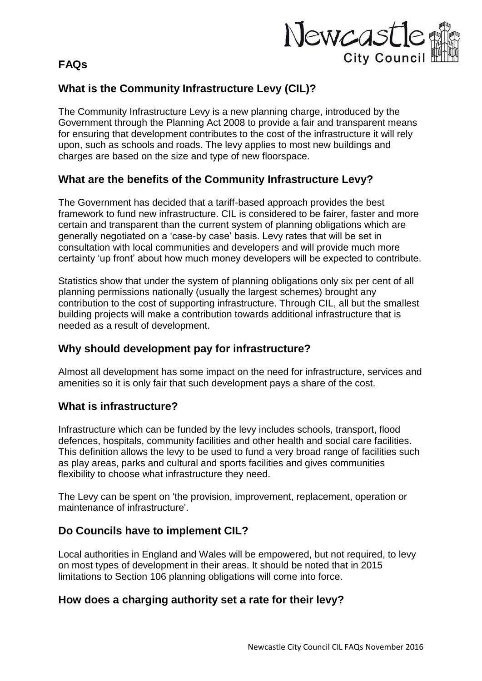### **FAQs**



# **What is the Community Infrastructure Levy (CIL)?**

The Community Infrastructure Levy is a new planning charge, introduced by the Government through the Planning Act 2008 to provide a fair and transparent means for ensuring that development contributes to the cost of the infrastructure it will rely upon, such as schools and roads. The levy applies to most new buildings and charges are based on the size and type of new floorspace.

### **What are the benefits of the Community Infrastructure Levy?**

The Government has decided that a tariff-based approach provides the best framework to fund new infrastructure. CIL is considered to be fairer, faster and more certain and transparent than the current system of planning obligations which are generally negotiated on a 'case-by case' basis. Levy rates that will be set in consultation with local communities and developers and will provide much more certainty 'up front' about how much money developers will be expected to contribute.

Statistics show that under the system of planning obligations only six per cent of all planning permissions nationally (usually the largest schemes) brought any contribution to the cost of supporting infrastructure. Through CIL, all but the smallest building projects will make a contribution towards additional infrastructure that is needed as a result of development.

### **Why should development pay for infrastructure?**

Almost all development has some impact on the need for infrastructure, services and amenities so it is only fair that such development pays a share of the cost.

### **What is infrastructure?**

Infrastructure which can be funded by the levy includes schools, transport, flood defences, hospitals, community facilities and other health and social care facilities. This definition allows the levy to be used to fund a very broad range of facilities such as play areas, parks and cultural and sports facilities and gives communities flexibility to choose what infrastructure they need.

The Levy can be spent on 'the provision, improvement, replacement, operation or maintenance of infrastructure'.

### **Do Councils have to implement CIL?**

Local authorities in England and Wales will be empowered, but not required, to levy on most types of development in their areas. It should be noted that in 2015 limitations to Section 106 planning obligations will come into force.

### **How does a charging authority set a rate for their levy?**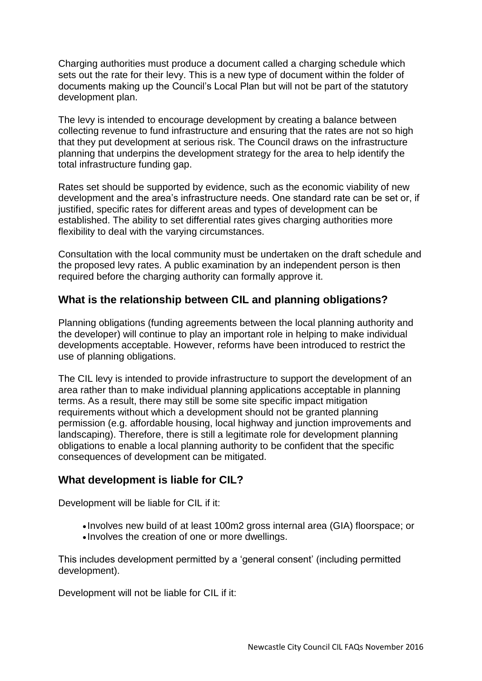Charging authorities must produce a document called a charging schedule which sets out the rate for their levy. This is a new type of document within the folder of documents making up the Council's Local Plan but will not be part of the statutory development plan.

The levy is intended to encourage development by creating a balance between collecting revenue to fund infrastructure and ensuring that the rates are not so high that they put development at serious risk. The Council draws on the infrastructure planning that underpins the development strategy for the area to help identify the total infrastructure funding gap.

Rates set should be supported by evidence, such as the economic viability of new development and the area's infrastructure needs. One standard rate can be set or, if justified, specific rates for different areas and types of development can be established. The ability to set differential rates gives charging authorities more flexibility to deal with the varying circumstances.

Consultation with the local community must be undertaken on the draft schedule and the proposed levy rates. A public examination by an independent person is then required before the charging authority can formally approve it.

#### **What is the relationship between CIL and planning obligations?**

Planning obligations (funding agreements between the local planning authority and the developer) will continue to play an important role in helping to make individual developments acceptable. However, reforms have been introduced to restrict the use of planning obligations.

The CIL levy is intended to provide infrastructure to support the development of an area rather than to make individual planning applications acceptable in planning terms. As a result, there may still be some site specific impact mitigation requirements without which a development should not be granted planning permission (e.g. affordable housing, local highway and junction improvements and landscaping). Therefore, there is still a legitimate role for development planning obligations to enable a local planning authority to be confident that the specific consequences of development can be mitigated.

#### **What development is liable for CIL?**

Development will be liable for CIL if it:

- Involves new build of at least 100m2 gross internal area (GIA) floorspace; or
- Involves the creation of one or more dwellings.

This includes development permitted by a 'general consent' (including permitted development).

Development will not be liable for CIL if it: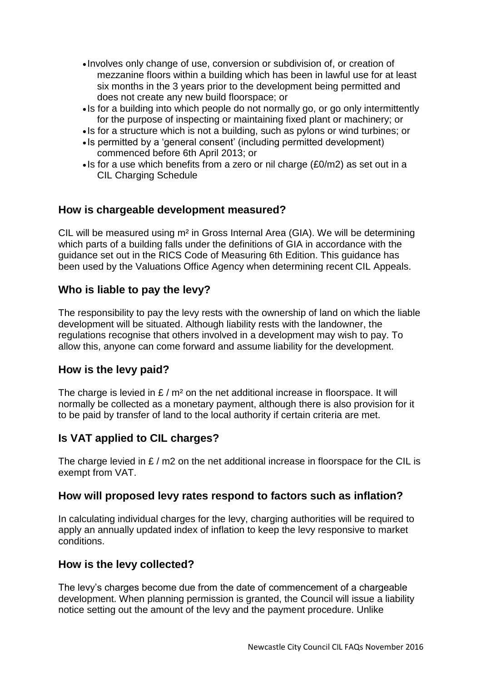- Involves only change of use, conversion or subdivision of, or creation of mezzanine floors within a building which has been in lawful use for at least six months in the 3 years prior to the development being permitted and does not create any new build floorspace; or
- Is for a building into which people do not normally go, or go only intermittently for the purpose of inspecting or maintaining fixed plant or machinery; or
- Is for a structure which is not a building, such as pylons or wind turbines; or
- Is permitted by a 'general consent' (including permitted development) commenced before 6th April 2013; or
- $\cdot$  Is for a use which benefits from a zero or nil charge (£0/m2) as set out in a CIL Charging Schedule

### **How is chargeable development measured?**

CIL will be measured using m² in Gross Internal Area (GIA). We will be determining which parts of a building falls under the definitions of GIA in accordance with the guidance set out in the RICS Code of Measuring 6th Edition. This guidance has been used by the Valuations Office Agency when determining recent CIL Appeals.

#### **Who is liable to pay the levy?**

The responsibility to pay the levy rests with the ownership of land on which the liable development will be situated. Although liability rests with the landowner, the regulations recognise that others involved in a development may wish to pay. To allow this, anyone can come forward and assume liability for the development.

#### **How is the levy paid?**

The charge is levied in  $E/m^2$  on the net additional increase in floorspace. It will normally be collected as a monetary payment, although there is also provision for it to be paid by transfer of land to the local authority if certain criteria are met.

### **Is VAT applied to CIL charges?**

The charge levied in  $E/m2$  on the net additional increase in floorspace for the CIL is exempt from VAT.

#### **How will proposed levy rates respond to factors such as inflation?**

In calculating individual charges for the levy, charging authorities will be required to apply an annually updated index of inflation to keep the levy responsive to market conditions.

#### **How is the levy collected?**

The levy's charges become due from the date of commencement of a chargeable development. When planning permission is granted, the Council will issue a liability notice setting out the amount of the levy and the payment procedure. Unlike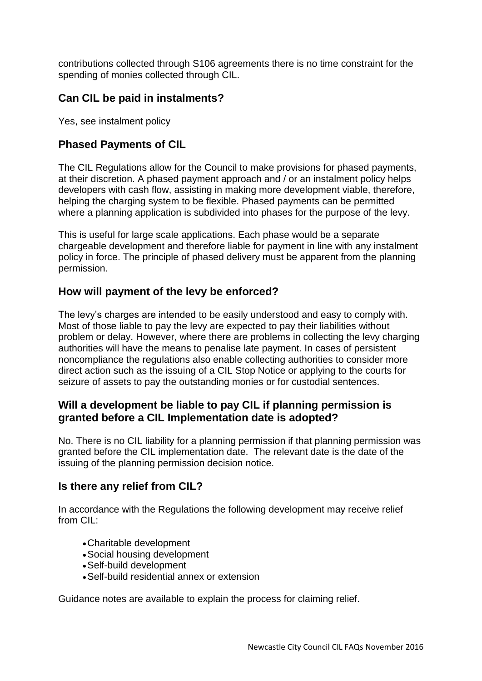contributions collected through S106 agreements there is no time constraint for the spending of monies collected through CIL.

# **Can CIL be paid in instalments?**

Yes, see instalment policy

# **Phased Payments of CIL**

The CIL Regulations allow for the Council to make provisions for phased payments, at their discretion. A phased payment approach and / or an instalment policy helps developers with cash flow, assisting in making more development viable, therefore, helping the charging system to be flexible. Phased payments can be permitted where a planning application is subdivided into phases for the purpose of the levy.

This is useful for large scale applications. Each phase would be a separate chargeable development and therefore liable for payment in line with any instalment policy in force. The principle of phased delivery must be apparent from the planning permission.

### **How will payment of the levy be enforced?**

The levy's charges are intended to be easily understood and easy to comply with. Most of those liable to pay the levy are expected to pay their liabilities without problem or delay. However, where there are problems in collecting the levy charging authorities will have the means to penalise late payment. In cases of persistent noncompliance the regulations also enable collecting authorities to consider more direct action such as the issuing of a CIL Stop Notice or applying to the courts for seizure of assets to pay the outstanding monies or for custodial sentences.

### **Will a development be liable to pay CIL if planning permission is granted before a CIL Implementation date is adopted?**

No. There is no CIL liability for a planning permission if that planning permission was granted before the CIL implementation date. The relevant date is the date of the issuing of the planning permission decision notice.

### **Is there any relief from CIL?**

In accordance with the Regulations the following development may receive relief from CIL:

- Charitable development
- Social housing development
- Self-build development
- Self-build residential annex or extension

Guidance notes are available to explain the process for claiming relief.